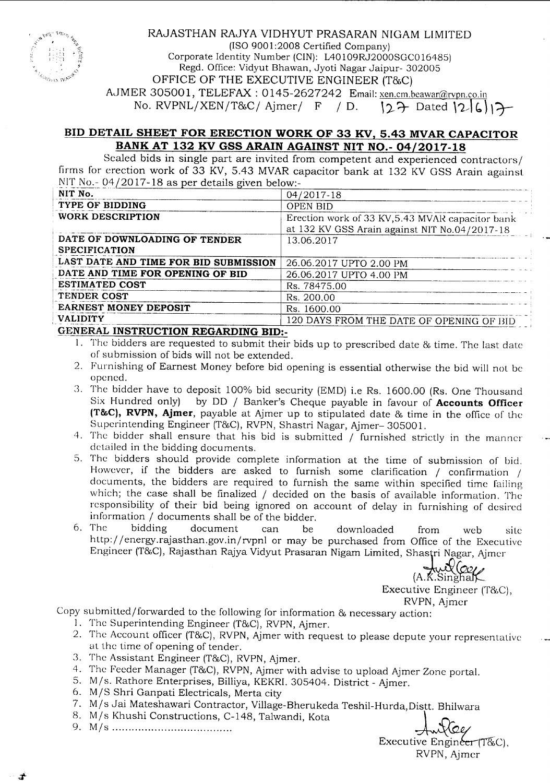

#### RAJASTHAN RAJYA VIDHYUT PRASARAN NIGAM LIMITED (ISO 9001 :2008 Certified Company)

Corporate Identity Number (CIN): L40109RJ2000SGC016485) Regd. Office: Vidyut Bhawan, Jyoti Nagar Jaipur- 302005 OFFICE OF THE EXECUTIVE ENGINEER (T&C) AJMER 305001, TELEFAX: 0145-2627242 Email: xen.cm.beawar@rvpn.co.in No. RVPNLjXENjT&Cj Ajmerj <sup>F</sup> *<sup>j</sup>* D. ,?--~ Dated **,'2- b) \'7-**

# ~ID **DETAIL SHEET FOR ERECTION WORK OF 33 KV, 5.43 MVAR CAPACITOR BANK AT 132 KV GSS ARAIN AGAINST NIT NO.- 04/2017-18**

Scaled bids in single part are invited from competent and experienced contractors/ firms for erection work of 33 KV, 5.43 MVAR capacitor bank at 132 KV GSS Arain against  $N$ IT No. - 04/2017 - 18 as per details given below:-

| NIT No.                                        | 04/2017-18                                                                                        |
|------------------------------------------------|---------------------------------------------------------------------------------------------------|
| TYPE OF BIDDING                                | <b>OPEN BID</b>                                                                                   |
| WORK DESCRIPTION                               | Erection work of 33 KV, 5.43 MVAR capacitor bank<br>at 132 KV GSS Arain against NIT No.04/2017-18 |
| DATE OF DOWNLOADING OF TENDER<br>SPECIFICATION | 13.06.2017                                                                                        |
| LAST DATE AND TIME FOR BID SUBMISSION          | 26.06.2017 UPTO 2.00 PM                                                                           |
| DATE AND TIME FOR OPENING OF BID               | 26.06.2017 UPTO 4.00 PM                                                                           |
| <b>ESTIMATED COST</b>                          | Rs. 78475.00                                                                                      |
| TENDER COST                                    | Rs. 200.00                                                                                        |
| EARNEST MONEY DEPOSIT                          | Rs. 1600.00                                                                                       |
| <b>VALIDITY</b>                                | 120 DAYS FROM THE DATE OF OPENING OF BID                                                          |
|                                                |                                                                                                   |

## **GENERAL INSTRUCTION REGARDING BID:-**

- I. The bidders are requested to submit their bids up to prescribed date & time. The last date of submission of bids will not be extended.
- 2. Furnishing of Earnest Money before bid opening is essential otherwise the bid will not be opened.
- 3. The bidder have to deposit 100% bid security (EMD) i.e Rs. 1600.00 (Rs. One Thousand Six Hundred only) by DD / Banker's Cheque payable in favour of **Accounts Officer** by DD / Banker's Cheque payable in favour of **Accounts Officer (T&C), RVPN, Ajmer,** payable at Ajmer up to stipulated date & time in the office of the Superintending Engineer (T&C), RVPN, Shastri Nagar, Ajmer- 30500l.
- 4. The bidder shall ensure that his bid is submitted / furnished strictly in the manner detailed in the bidding documents.
- 5. The bidders should provide complete information at the time of submission of bid. However, if the bidders are asked to furnish some clarification / confirmation / documents, the bidders are required to furnish the same within specified time failing which; the case shall be finalized / decided on the basis of available information. The responsibility of their bid being ignored on account of delay in furnishing of desired information / documents shall be of the bidder.<br>6. The bidding document can be
- 6. The bidding document can be downloaded from web site http://energy.rajasthan.gov.in/rvpnl or may be purchased from Office of the Executive Engineer (T&C), Rajasthan Rajya Vidyut Prasaran Nigam Limited, Shastri Nagar, Ajmer

 $A.K.$ Singhal

Executive Engineer (T&C),

RVPN, Ajmcr

Copy submitted/forwarded to the following for information & necessary action:

- I. The Superintending Engineer (T&C), RVPN, Ajmer.
- 2. The Account officer (T&C), RVPN, Ajmer with request to please depute your representative at the time of opening of tender.
- 3. The Assistant Engineer (T&C), RVPN, Ajmer.
- 4. The Feeder Manager (T&C), RVPN, Ajmer with advise to upload Ajmer Zone portal.
- 5. M/s. Rathore Enterprises, Billiya, KEKRI. 305404. District Ajmer.
- 6. M/S Shri Ganpati Electricals, Merta city
- 7. M/s Jai Mateshawari Contractor, Village-Bherukeda Teshil-Hurda, Distt. Bhilwara 8. M/s Khushi Constructions, C-148, Talwandi, Kota
- 
- ~: ~~: ~~~~~~.~~.~.~~~.~.~~~~~~:.~.-148, Talwandi, Kota 1 *\_{J-~~/*

Executive Engineer  $T\&C$ ). RVPN, Ajmcr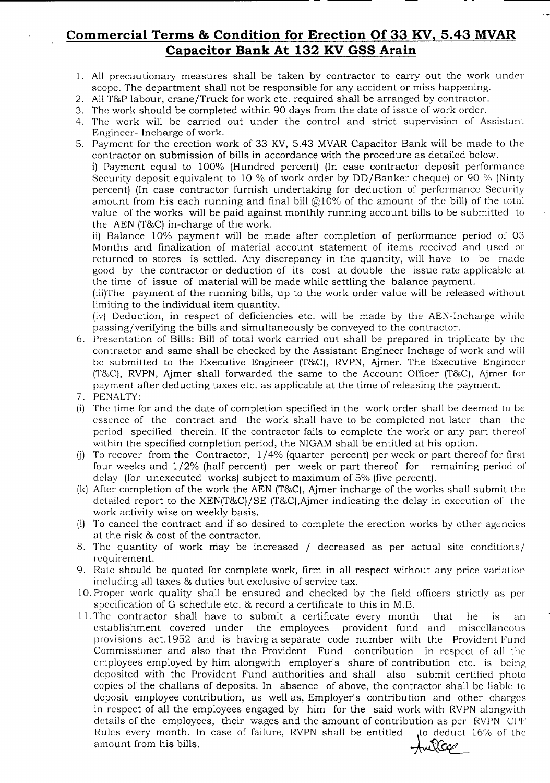# **Commercial Terms & Condition for Erection Of 33 KV, 5.43 MVAR Capacitor Bank At <sup>132</sup> KV ass Arain**

- 1. All precautionary measures shall be taken by contractor to carry out the work under scope. The department shall not be responsible for any accident or miss happening.
- 2. AllT&P labour, crane/Truck for work etc. required shall be arranged by contractor.
- 3. The work should be completed within 90 days from the date of issue of work order.
- 4. The work will be carried out under the control and strict supervision of Assistant Engineer- Incharge of work.
- S. Payment for the erection work of 33 KY, 5.43 MVARCapacitor Bank will be made to thc contractor on submission of bills in accordance with the procedure as detailed below. i] Payment equal to 100% (Hundred percent) (In case contractor deposit performance Security deposit equivalent to 10 % of work order by DO/Banker cheque) or 90 % (Ninty percent) (In case contractor furnish undertaking for deduction of performance Security amount from his each running and final bill  $@10\%$  of the amount of the bill) of the total value of the works will be paid against monthly running account bills to be submitted to the AEN  $(T&C)$  in-charge of the work.

ii) Balance 10% payment will be made after completion of performance period of 03 Months and finalization of material account statement of items received and used or returned to stores is settled. Any discrepancy in the quantity, will have to be made good by the contractor or deduction of its cost at double the issue rate applicable at the time of issue of material will be made while settling the balance payment.

(iii)The payment of the running bills, up to the work order value will be released withou t limiting to the individual item quantity.

(iv) Deduction, in respect of deficiencies etc. will be made by the AEN-Incharge while passing/verifying the bills and simultaneously be conveyed to the contractor.

- 6. Presentation of Bills: Bill of total work carried out shall be prepared in triplicate by the contractor and same shall be checked by the Assistant Engineer Inchage of work and will be submitted to the Executive Engineer (T&C), RVPN, Ajmer. The Executive Engineer (T&C), RVPN, Ajmer shall forwarded the same to the Account Officer (T&C), Ajmer for payment after deducting taxes etc. as applicable at the time of releasing the payment.
- 7. PENALTY:
- (i) The time for and the date of completion specified in the work order shall be deemed to be essence of the contract and the work shall have to be completed not later than the period specified therein. If the contractor fails to complete the work or any part thereof" within the specified completion period, the NIGAM shall be entitled at his option.
- (j) To recover from the Contractor,  $1/4%$  (quarter percent) per week or part thereof for first four weeks and  $1/2$ % (half percent) per week or part thereof for remaining period of delay (for unexecuted works) subject to maximum of 5% (five percent).
- $(k)$  After completion of the work the AEN (T&C), Ajmer incharge of the works shall submit the detailed report to the XEN(T&C)/SE (T&C), Ajmer indicating the delay in execution of the work activity wise on weekly basis.
- (I) To cancel the contract and if so desired to complete the erection works by other agencies at the risk & cost of the contractor.
- 8. The quantity of work may be increased / decreased as per actual site conditions/ requirement.
- 9. Rate should be quoted for complete work, firm in all respect without any price variation including all taxes & duties but exclusive of service tax.
- 10. Proper work quality shall be ensured and checked by the field officers strictly as per specification of G schedule etc. & record a certificate to this in M.B.
- $11.$  The contractor shall have to submit a certificate every month that he is an establishment covered under the employees provident fund and miscellaneous provisions act.1952 and is having a separate code number with the Provident Fund Commissioner and also that the Provident Fund contribution in respect of all the employees employed by him alongwith employer's share of contribution etc. is being deposited with the Provident Fund authorities and shall also submit certified photo copies of the challans of deposits. In absence of above, the contractor shall be liable to deposit employee contribution, as well as, Employer's contribution and other charges in respect of all the employees engaged by him for the said work with RVPN alongwith details of the employees, their wages and the amount of contribution as per RVPN CPF<br>Rules every month. In case of failure, RVPN shall be entitled to deduct 16% of the Rules every month. In case of failure, RVPN shall be entitled  $\sim$  amount from his bills.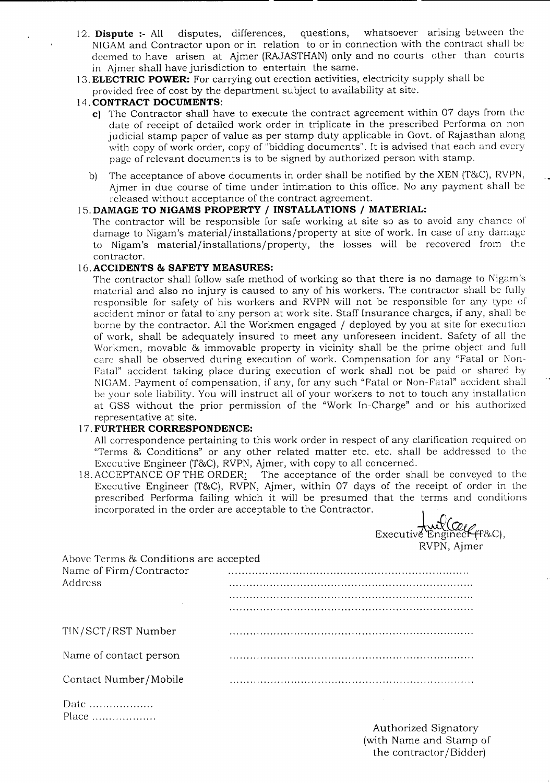- 12. **Dispute :-** All disputes, differences, questions, whatsoever arising between the NIGAMand Contractor upon or in relation to or in connection with the contract shall be deemed to have arisen at Ajmer (RAJASTHAN) only and no courts other than courts in Ajmer shall have jurisdiction to entertain the same.
- 13.**ELECTRIC POWER:** For carrying out erection activities, electricity supply shall be
- provided free of cost by the department subject to availability at site.

### 14. **CONTRACT DOCUMENTS:**

- **c)** The Contractor shall have to execute the contract agreement within 07 days from the date of receipt of detailed work order in triplicate in the prescribed Performa on non judicial stamp paper of value as per stamp duty applicable in Govt. of Rajasthan along with copy of work order, copy of "bidding documents". It is advised that each and every page of relevant documents is to be signed by authorized person with stamp.
- b) The acceptance of above documents in order shall be notified by the XEN (T&C), RVPN, Ajmer in due course of time under intimation to this office. No any payment shall be released without acceptance of the contract agreement.

#### 15. **DAMAGE TO NIGAMS PROPERTY / INSTALLATIONS / MATERIAL:**

The contractor will be responsible for safe working at site so as to avoid any chance of damage to Nigam's material/installations/property at site of work. In case of any damage to Nigam's material/installations/property, the losses will be recovered from the contractor.

#### 16.**ACCIDENTS & SAFETY MEASURES:**

The contractor shall follow safe method of working so that there is no damage to Nigam's material and also no injury is caused to any of his workers. The contractor shall be fully responsible for safety of his workers and RVPN will not be responsible for any type of accident minor or fatal to any person at work site. Staff Insurance charges, if any, shall be borne by the contractor. All the Workmen engaged / deployed by you at site for execution of work, shall be adequately insured to meet any unforeseen incident. Safety of all the Workmen, movable & immovable property in vicinity shall be the prime object and full care shall be observed during execution of work. Compensation for any "Fatal or Non-Fatal" accident taking place during execution of work shall not be paid or shared by NIGAM. Payment of compensation, if any, for any such "Fatal or Non-Fatal" accident shall be your sole liability. You will instruct all of your workers to not to touch any installation at GSS without the prior permission of the "Work In-Charge" and or his authorized representative at site.

#### 17. **FURTHER CORRESPONDENCE:**

All correspondence pertaining to this work order in respect of any clarification required on "Terms & Conditions" or any other related matter etc. etc. shall be addressed to the Executive Engineer (T&C), RVPN, Ajmer, with copy to all concerned.

18.ACCEPTANCE OF THE ORDER<u>:</u> The acceptance of the order shall be conveyed to the Executive Engineer (T&C), RVPN, Ajmer, within 07 days of the receipt of order in the prescribed Performa failing which it will be presumed that the terms and conditions incorporated in the order are acceptable to the Contractor.<br> $\bigcup_{\alpha \in \mathcal{A}} \mathcal{G}(\alpha_{\alpha})$ 

|                                       | $\alpha$ Executive Engineer (F&C),<br>RVPN, Ajmer |
|---------------------------------------|---------------------------------------------------|
| Above Terms & Conditions are accepted |                                                   |
| Name of Firm/Contractor               |                                                   |
| Address                               |                                                   |
|                                       |                                                   |
|                                       |                                                   |
| TIN/SCT/RST Number                    |                                                   |
| Name of contact person                |                                                   |
| Contact Number/Mobile                 |                                                   |
| Date                                  |                                                   |
| Place                                 |                                                   |

Authorized Signatory (with Name and Stamp of the contractor/Bidder)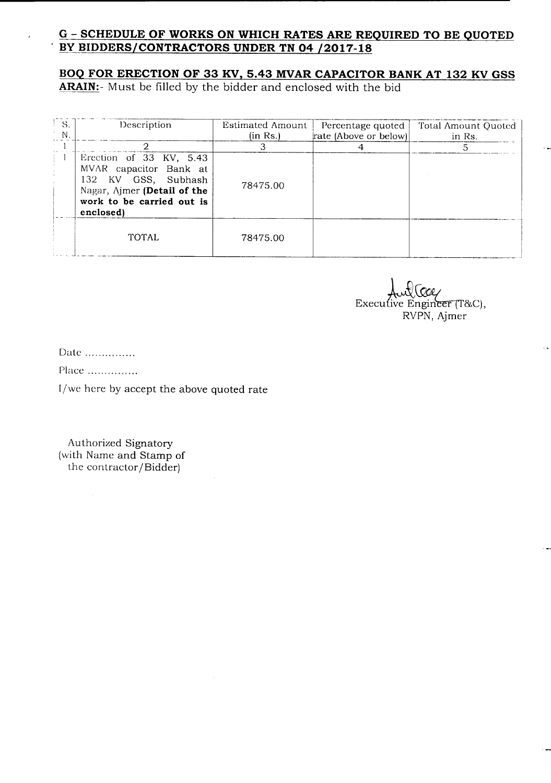# G - **SCHEDULE OF WORKS ON WHICH RATES ARE REQUIRED TO BE QUOTED , BY BIDDERS/CONTRACTORS UNDER TN 04 /2017-18**

## **BOQ FOR ERECTION OF 33 KV, 5.43 MVAR CAPACITOR BANK AT 132 KV GSS**

**ARAIN:-** Must be filled by the bidder and enclosed with the bid

| - S.<br>N | Description                                                                                                                                       | Estimated Amount<br>(in Rs.) | Percentage quoted<br>rate (Above or below) | Total Amount Quoted<br>in Rs. |
|-----------|---------------------------------------------------------------------------------------------------------------------------------------------------|------------------------------|--------------------------------------------|-------------------------------|
|           |                                                                                                                                                   |                              |                                            |                               |
|           | Erection of 33 KV, 5.43<br>MVAR capacitor Bank at<br>132 KV GSS, Subhash<br>Nagar, Ajmer (Detail of the<br>work to be carried out is<br>enclosed) | 78475.00                     |                                            |                               |
|           | TOTAL                                                                                                                                             | 78475.00                     |                                            |                               |

Executive Engineer  $(T&C)$ , RVPN, Ajrner

Date ...............

Place ................

l/we here by accept the above quoted rate

Authorized Signatory (with Name and Stamp of the contractor/Bidder)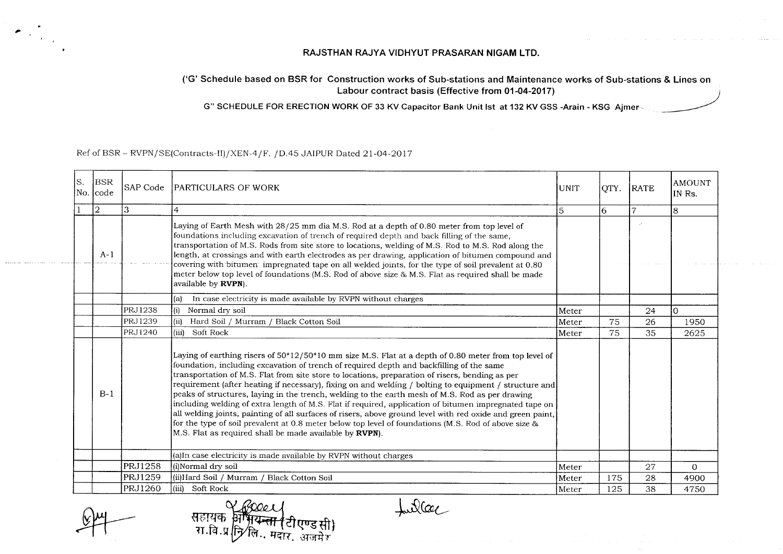#### **RAJSTHAN RAJYA VIOHYUT PRASARAN NIGAM LTO.**

#### ('G' Schedule based on BSR for Construction works of Sub-stations and Maintenance works of Sub-stations & Lines on **Labour contract basis (Effective from 01-04-2017)**

G" SCHEDULE FOR ERECTION WORK OF 33 KV Capacitor Bank Unit lst at 132 KV GSS -Arain - KSG Ajmer-

#### Ref of BSR - RVPN/SE(Contracts-II)/XEN-4/F. /D.45 JAIPUR Dated 21-04-2017

| ls. | BSR<br>No. code | SAP Code       | PARTICULARS OF WORK                                                                                                                                                                                                                                                                                                                                                                                                                                                                                                                                                                                                                                                                                                                                                                                                                                                                                            | UNIT  | QTY. | <b>RATE</b> | <b>AMOUNT</b><br>IN Rs. |
|-----|-----------------|----------------|----------------------------------------------------------------------------------------------------------------------------------------------------------------------------------------------------------------------------------------------------------------------------------------------------------------------------------------------------------------------------------------------------------------------------------------------------------------------------------------------------------------------------------------------------------------------------------------------------------------------------------------------------------------------------------------------------------------------------------------------------------------------------------------------------------------------------------------------------------------------------------------------------------------|-------|------|-------------|-------------------------|
|     | $ 2\rangle$     | 3              | 4                                                                                                                                                                                                                                                                                                                                                                                                                                                                                                                                                                                                                                                                                                                                                                                                                                                                                                              | 5     | 6    |             | 8                       |
|     | $A-1$           |                | Laying of Earth Mesh with 28/25 mm dia M.S. Rod at a depth of 0.80 meter from top level of<br>foundations including excavation of trench of required depth and back filling of the same,<br>transportation of M.S. Rods from site store to locations, welding of M.S. Rod to M.S. Rod along the<br>length, at crossings and with earth electrodes as per drawing, application of bitumen compound and<br>covering with bitumen impregnated tape on all welded joints, for the type of soil prevalent at 0.80<br>meter below top level of foundations (M.S. Rod of above size & M.S. Flat as required shall be made<br>available by <b>RVPN</b> ).                                                                                                                                                                                                                                                              |       |      |             |                         |
|     |                 |                | In case electricity is made available by RVPN without charges<br>(a)                                                                                                                                                                                                                                                                                                                                                                                                                                                                                                                                                                                                                                                                                                                                                                                                                                           |       |      |             |                         |
|     |                 | <b>PRJ1238</b> | Normal dry soil<br>(i)                                                                                                                                                                                                                                                                                                                                                                                                                                                                                                                                                                                                                                                                                                                                                                                                                                                                                         | Meter |      | 24          | I٥                      |
|     |                 | PRJ1239        | Hard Soil / Murram / Black Cotton Soil<br>(ii)                                                                                                                                                                                                                                                                                                                                                                                                                                                                                                                                                                                                                                                                                                                                                                                                                                                                 | Meter | 75   | 26          | 1950                    |
|     |                 | PRJ1240        | (iii)<br>Soft Rock                                                                                                                                                                                                                                                                                                                                                                                                                                                                                                                                                                                                                                                                                                                                                                                                                                                                                             | Meter | 75   | 35          | 2625                    |
|     | $B-1$           |                | Laying of earthing risers of $50*12/50*10$ mm size M.S. Flat at a depth of 0.80 meter from top level of<br>foundation, including excavation of trench of required depth and backfilling of the same<br>transportation of M.S. Flat from site store to locations, preparation of risers, bending as per<br>requirement (after heating if necessary), fixing on and welding / bolting to equipment / structure and<br>peaks of structures, laying in the trench, welding to the earth mesh of M.S. Rod as per drawing<br>including welding of extra length of M.S. Flat if required, application of bitumen impregnated tape on<br>all welding joints, painting of all surfaces of risers, above ground level with red oxide and green paint,<br>for the type of soil prevalent at 0.8 meter below top level of foundations (M.S. Rod of above size &<br>M.S. Flat as required shall be made available by RVPN). |       |      |             |                         |
|     |                 |                | (a)In case electricity is made available by RVPN without charges                                                                                                                                                                                                                                                                                                                                                                                                                                                                                                                                                                                                                                                                                                                                                                                                                                               |       |      |             |                         |
|     |                 | <b>PRJ1258</b> | (i)Normal dry soil                                                                                                                                                                                                                                                                                                                                                                                                                                                                                                                                                                                                                                                                                                                                                                                                                                                                                             | Meter |      | 27          | $\Omega$                |
|     |                 | <b>PRJ1259</b> | (ii)Hard Soil / Murram / Black Cotton Soil                                                                                                                                                                                                                                                                                                                                                                                                                                                                                                                                                                                                                                                                                                                                                                                                                                                                     | Meter | 175  | 28          | 4900                    |
|     |                 | PRJ1260        | (iii) Soft Rock                                                                                                                                                                                                                                                                                                                                                                                                                                                                                                                                                                                                                                                                                                                                                                                                                                                                                                | Meter | 125  | 38          | 4750                    |

fuller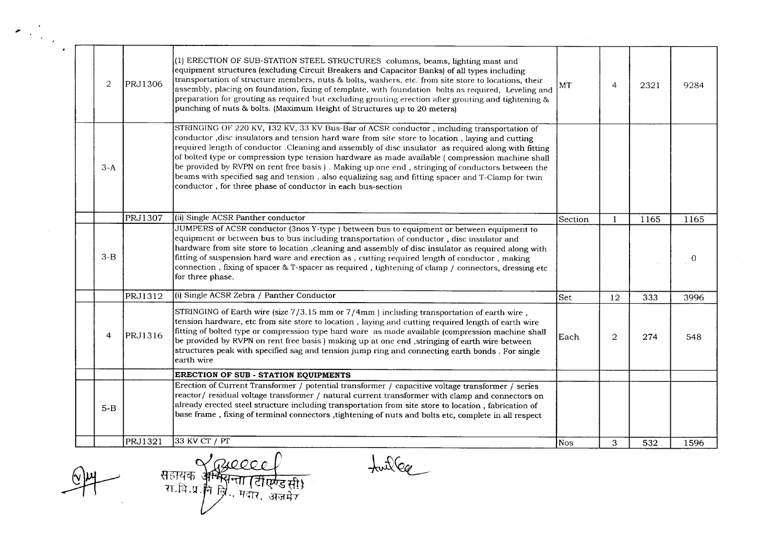| (1) ERECTION OF SUB-STATION STEEL STRUCTURES columns, beams, lighting mast and<br>equipment structures (excluding Circuit Breakers and Capacitor Banks) of all types including<br>transportation of structure members, nuts & bolts, washers, etc. from site store to locations, their<br>$\overline{2}$<br>PRJ1306<br>MT<br>$\overline{4}$<br>2321<br>9284<br>assembly, placing on foundation, fixing of template, with foundation bolts as required, Leveling and<br>preparation for grouting as required but excluding grouting erection after grouting and tightening &<br>punching of nuts & bolts. (Maximum Height of Structures up to 20 meters)<br>STRINGING OF 220 KV, 132 KV, 33 KV Bus-Bar of ACSR conductor, including transportation of<br>conductor, disc insulators and tension hard ware from site store to location, laying and cutting<br>required length of conductor . Cleaning and assembly of disc insulator as required along with fitting<br>of bolted type or compression type tension hardware as made available (compression machine shall<br>be provided by RVPN on rent free basis). Making up one end, stringing of conductors between the<br>$3-A$<br>beams with specified sag and tension, also equalizing sag and fitting spacer and T-Clamp for twin<br>conductor, for three phase of conductor in each bus-section<br>(ii) Single ACSR Panther conductor<br><b>PRJ1307</b><br>Section<br>1165<br>1165<br>-1<br>JUMPERS of ACSR conductor (3nos Y-type) between bus to equipment or between equipment to<br>equipment or between bus to bus including transportation of conductor, disc insulator and<br>hardware from site store to location , cleaning and assembly of disc insulator as required along with<br>$3-B$<br>fitting of suspension hard ware and erection as, cutting required length of conductor, making<br>connection, fixing of spacer & T-spacer as required, tightening of clamp / connectors, dressing etc<br>for three phase.<br>(i) Single ACSR Zebra / Panther Conductor<br>PRJ1312<br>Set<br>12<br>333<br>3996<br>STRINGING of Earth wire (size $7/3.15$ mm or $7/4$ mm) including transportation of earth wire,<br>tension hardware, etc from site store to location, laying and cutting required length of earth wire<br>fitting of bolted type or compression type hard ware as made available (compression machine shall<br>PRJ1316<br>$\overline{4}$<br>$\overline{2}$<br>Each<br>274<br>548<br>be provided by RVPN on rent free basis ) making up at one end , stringing of earth wire between<br>structures peak with specified sag and tension jump ring and connecting earth bonds. For single<br>earth wire<br><b>ERECTION OF SUB - STATION EQUIPMENTS</b><br>Erection of Current Transformer / potential transformer / capacitive voltage transformer / series<br>reactor/residual voltage transformer / natural current transformer with clamp and connectors on<br>already erected steel structure including transportation from site store to location, fabrication of<br>$5-B$<br>base frame, fixing of terminal connectors, tightening of nuts and bolts etc, complete in all respect<br>33 KV CT / PT<br>PRJ1321<br>Nos<br>3<br>532<br>1596 | $\sigma_{\rm{max}}$ |  |  |  |  |
|-------------------------------------------------------------------------------------------------------------------------------------------------------------------------------------------------------------------------------------------------------------------------------------------------------------------------------------------------------------------------------------------------------------------------------------------------------------------------------------------------------------------------------------------------------------------------------------------------------------------------------------------------------------------------------------------------------------------------------------------------------------------------------------------------------------------------------------------------------------------------------------------------------------------------------------------------------------------------------------------------------------------------------------------------------------------------------------------------------------------------------------------------------------------------------------------------------------------------------------------------------------------------------------------------------------------------------------------------------------------------------------------------------------------------------------------------------------------------------------------------------------------------------------------------------------------------------------------------------------------------------------------------------------------------------------------------------------------------------------------------------------------------------------------------------------------------------------------------------------------------------------------------------------------------------------------------------------------------------------------------------------------------------------------------------------------------------------------------------------------------------------------------------------------------------------------------------------------------------------------------------------------------------------------------------------------------------------------------------------------------------------------------------------------------------------------------------------------------------------------------------------------------------------------------------------------------------------------------------------------------------------------------------------------------------------------------------------------------------------------------------------------------------------------------------------------------------------------------------------------------------------------------------------------------------------------------------------------------------------------------------------------------------------------------------------------------------------------------------------------------------------------------------------------------------------------------------------------------|---------------------|--|--|--|--|
|                                                                                                                                                                                                                                                                                                                                                                                                                                                                                                                                                                                                                                                                                                                                                                                                                                                                                                                                                                                                                                                                                                                                                                                                                                                                                                                                                                                                                                                                                                                                                                                                                                                                                                                                                                                                                                                                                                                                                                                                                                                                                                                                                                                                                                                                                                                                                                                                                                                                                                                                                                                                                                                                                                                                                                                                                                                                                                                                                                                                                                                                                                                                                                                                                         |                     |  |  |  |  |
|                                                                                                                                                                                                                                                                                                                                                                                                                                                                                                                                                                                                                                                                                                                                                                                                                                                                                                                                                                                                                                                                                                                                                                                                                                                                                                                                                                                                                                                                                                                                                                                                                                                                                                                                                                                                                                                                                                                                                                                                                                                                                                                                                                                                                                                                                                                                                                                                                                                                                                                                                                                                                                                                                                                                                                                                                                                                                                                                                                                                                                                                                                                                                                                                                         |                     |  |  |  |  |
|                                                                                                                                                                                                                                                                                                                                                                                                                                                                                                                                                                                                                                                                                                                                                                                                                                                                                                                                                                                                                                                                                                                                                                                                                                                                                                                                                                                                                                                                                                                                                                                                                                                                                                                                                                                                                                                                                                                                                                                                                                                                                                                                                                                                                                                                                                                                                                                                                                                                                                                                                                                                                                                                                                                                                                                                                                                                                                                                                                                                                                                                                                                                                                                                                         |                     |  |  |  |  |
|                                                                                                                                                                                                                                                                                                                                                                                                                                                                                                                                                                                                                                                                                                                                                                                                                                                                                                                                                                                                                                                                                                                                                                                                                                                                                                                                                                                                                                                                                                                                                                                                                                                                                                                                                                                                                                                                                                                                                                                                                                                                                                                                                                                                                                                                                                                                                                                                                                                                                                                                                                                                                                                                                                                                                                                                                                                                                                                                                                                                                                                                                                                                                                                                                         |                     |  |  |  |  |
|                                                                                                                                                                                                                                                                                                                                                                                                                                                                                                                                                                                                                                                                                                                                                                                                                                                                                                                                                                                                                                                                                                                                                                                                                                                                                                                                                                                                                                                                                                                                                                                                                                                                                                                                                                                                                                                                                                                                                                                                                                                                                                                                                                                                                                                                                                                                                                                                                                                                                                                                                                                                                                                                                                                                                                                                                                                                                                                                                                                                                                                                                                                                                                                                                         |                     |  |  |  |  |
|                                                                                                                                                                                                                                                                                                                                                                                                                                                                                                                                                                                                                                                                                                                                                                                                                                                                                                                                                                                                                                                                                                                                                                                                                                                                                                                                                                                                                                                                                                                                                                                                                                                                                                                                                                                                                                                                                                                                                                                                                                                                                                                                                                                                                                                                                                                                                                                                                                                                                                                                                                                                                                                                                                                                                                                                                                                                                                                                                                                                                                                                                                                                                                                                                         |                     |  |  |  |  |
|                                                                                                                                                                                                                                                                                                                                                                                                                                                                                                                                                                                                                                                                                                                                                                                                                                                                                                                                                                                                                                                                                                                                                                                                                                                                                                                                                                                                                                                                                                                                                                                                                                                                                                                                                                                                                                                                                                                                                                                                                                                                                                                                                                                                                                                                                                                                                                                                                                                                                                                                                                                                                                                                                                                                                                                                                                                                                                                                                                                                                                                                                                                                                                                                                         |                     |  |  |  |  |
|                                                                                                                                                                                                                                                                                                                                                                                                                                                                                                                                                                                                                                                                                                                                                                                                                                                                                                                                                                                                                                                                                                                                                                                                                                                                                                                                                                                                                                                                                                                                                                                                                                                                                                                                                                                                                                                                                                                                                                                                                                                                                                                                                                                                                                                                                                                                                                                                                                                                                                                                                                                                                                                                                                                                                                                                                                                                                                                                                                                                                                                                                                                                                                                                                         |                     |  |  |  |  |
|                                                                                                                                                                                                                                                                                                                                                                                                                                                                                                                                                                                                                                                                                                                                                                                                                                                                                                                                                                                                                                                                                                                                                                                                                                                                                                                                                                                                                                                                                                                                                                                                                                                                                                                                                                                                                                                                                                                                                                                                                                                                                                                                                                                                                                                                                                                                                                                                                                                                                                                                                                                                                                                                                                                                                                                                                                                                                                                                                                                                                                                                                                                                                                                                                         |                     |  |  |  |  |

 $\frac{1}{\sqrt{2}}$ 

 $\frac{2}{\frac{1}{32.13.9}}$   $\frac{2}{\frac{1}{32.9}}$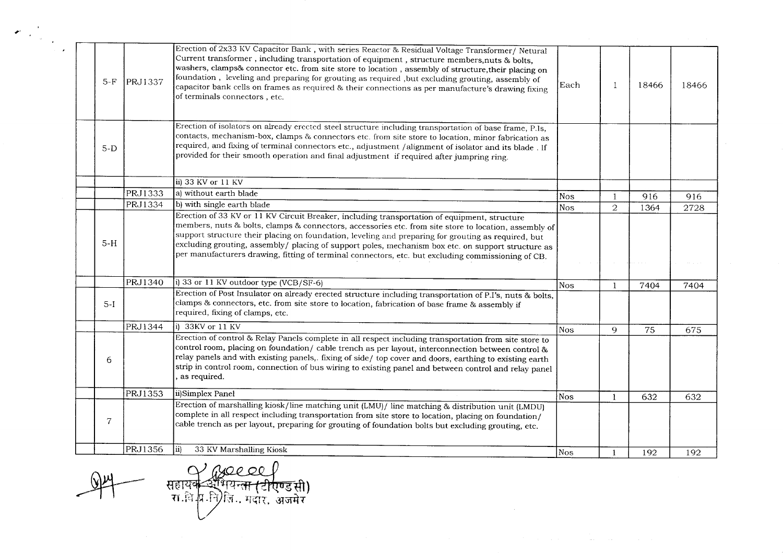| $5-F$          | PRJ1337 | Erection of 2x33 KV Capacitor Bank, with series Reactor & Residual Voltage Transformer/ Netural<br>Current transformer, including transportation of equipment, structure members, nuts & bolts,<br>washers, clamps& connector etc. from site store to location, assembly of structure, their placing on<br>foundation, leveling and preparing for grouting as required, but excluding grouting, assembly of<br>capacitor bank cells on frames as required & their connections as per manufacture's drawing fixing<br>of terminals connectors, etc. | Each       | -1             | 18466 | 18466 |
|----------------|---------|----------------------------------------------------------------------------------------------------------------------------------------------------------------------------------------------------------------------------------------------------------------------------------------------------------------------------------------------------------------------------------------------------------------------------------------------------------------------------------------------------------------------------------------------------|------------|----------------|-------|-------|
| $5-D$          |         | Erection of isolators on already erected steel structure including transportation of base frame, P.Is,<br>contacts, mechanism-box, clamps & connectors etc. from site store to location, minor fabrication as<br>required, and fixing of terminal connectors etc., adjustment /alignment of isolator and its blade. If<br>provided for their smooth operation and final adjustment if required after jumpring ring.                                                                                                                                |            |                |       |       |
|                |         | ii) 33 KV or 11 KV                                                                                                                                                                                                                                                                                                                                                                                                                                                                                                                                 |            |                |       |       |
|                | PRJ1333 | a) without earth blade                                                                                                                                                                                                                                                                                                                                                                                                                                                                                                                             | <b>Nos</b> | -1             | 916   | 916   |
|                | PRJ1334 | b) with single earth blade                                                                                                                                                                                                                                                                                                                                                                                                                                                                                                                         | <b>Nos</b> | $\overline{2}$ | 1364  | 2728  |
| $5-H$          |         | Erection of 33 KV or 11 KV Circuit Breaker, including transportation of equipment, structure<br>members, nuts & bolts, clamps & connectors, accessories etc. from site store to location, assembly of<br>support structure their placing on foundation, leveling and preparing for grouting as required, but<br>excluding grouting, assembly/ placing of support poles, mechanism box etc. on support structure as<br>per manufacturers drawing, fitting of terminal connectors, etc. but excluding commissioning of CB.                           |            |                |       |       |
|                | PRJ1340 | i) 33 or 11 KV outdoor type (VCB/SF-6)                                                                                                                                                                                                                                                                                                                                                                                                                                                                                                             | <b>Nos</b> | $\mathbf{1}$   | 7404  | 7404  |
| $5-I$          |         | Erection of Post Insulator on already erected structure including transportation of P.I's, nuts & bolts,<br>clamps & connectors, etc. from site store to location, fabrication of base frame & assembly if<br>required, fixing of clamps, etc.                                                                                                                                                                                                                                                                                                     |            |                |       |       |
|                | PRJ1344 | $\sqrt{ii)$ 33KV or 11 KV                                                                                                                                                                                                                                                                                                                                                                                                                                                                                                                          | Nos        | 9              | 75    | 675   |
| 6              |         | Erection of control & Relay Panels complete in all respect including transportation from site store to<br>control room, placing on foundation/ cable trench as per layout, interconnection between control &<br>relay panels and with existing panels,. fixing of side/top cover and doors, earthing to existing earth<br>strip in control room, connection of bus wiring to existing panel and between control and relay panel<br>as required.                                                                                                    |            |                |       |       |
|                | PRJ1353 | ii)Simplex Panel                                                                                                                                                                                                                                                                                                                                                                                                                                                                                                                                   | Nos        | $\mathbf{1}$   | 632   | 632   |
|                |         | Erection of marshalling kiosk/line matching unit (LMU)/ line matching & distribution unit (LMDU)<br>complete in all respect including transportation from site store to location, placing on foundation/                                                                                                                                                                                                                                                                                                                                           |            |                |       |       |
| $\overline{7}$ |         | cable trench as per layout, preparing for grouting of foundation bolts but excluding grouting, etc.                                                                                                                                                                                                                                                                                                                                                                                                                                                |            |                |       |       |

सहायक अधि⊘९ ०० ।<br>सहायक अभियन्<del>ता (टीएण्ड</del>सी)<br>रा.बि.वि.निर्ीलि.. मदार, अजमेर